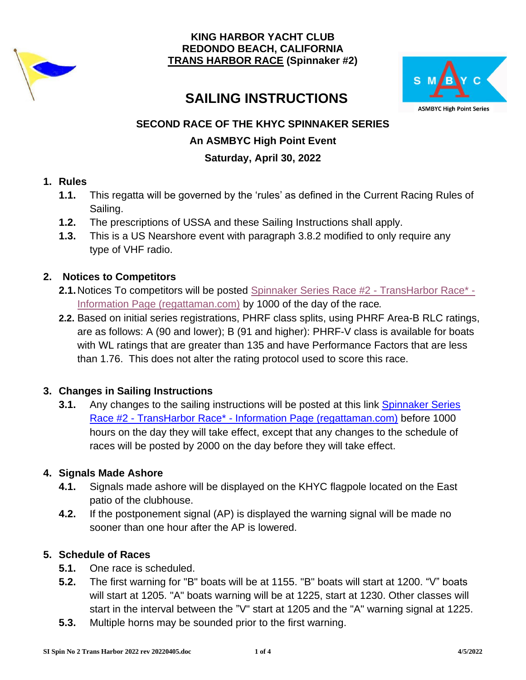



# **SAILING INSTRUCTIONS**

# **SECOND RACE OF THE KHYC SPINNAKER SERIES**

## **An ASMBYC High Point Event**

# **Saturday, April 30, 2022**

## **1. Rules**

- **1.1.** This regatta will be governed by the 'rules' as defined in the Current Racing Rules of Sailing.
- **1.2.** The prescriptions of USSA and these Sailing Instructions shall apply.
- **1.3.** This is a US Nearshore event with paragraph 3.8.2 modified to only require any type of VHF radio.

## **2. Notices to Competitors**

- **2.1.**Notices To competitors will be posted [Spinnaker Series Race #2 -](https://www.regattaman.com/new_event_page.php?race_id=962&yr=2022) TransHarbor Race\* [Information Page \(regattaman.com\)](https://www.regattaman.com/new_event_page.php?race_id=962&yr=2022) by 1000 of the day of the race.
- **2.2.** Based on initial series registrations, PHRF class splits, using PHRF Area-B RLC ratings, are as follows: A (90 and lower); B (91 and higher): PHRF-V class is available for boats with WL ratings that are greater than 135 and have Performance Factors that are less than 1.76. This does not alter the rating protocol used to score this race.

# **3. Changes in Sailing Instructions**

**3.1.** Any changes to the sailing instructions will be posted at this link [Spinnaker Series](https://www.regattaman.com/new_event_page.php?race_id=962&yr=2022)  Race #2 - TransHarbor Race\* - [Information Page \(regattaman.com\)](https://www.regattaman.com/new_event_page.php?race_id=962&yr=2022) before 1000 hours on the day they will take effect, except that any changes to the schedule of races will be posted by 2000 on the day before they will take effect.

# **4. Signals Made Ashore**

- **4.1.** Signals made ashore will be displayed on the KHYC flagpole located on the East patio of the clubhouse.
- **4.2.** If the postponement signal (AP) is displayed the warning signal will be made no sooner than one hour after the AP is lowered.

# **5. Schedule of Races**

- **5.1.** One race is scheduled.
- **5.2.** The first warning for "B" boats will be at 1155. "B" boats will start at 1200. "V" boats will start at 1205. "A" boats warning will be at 1225, start at 1230. Other classes will start in the interval between the "V" start at 1205 and the "A" warning signal at 1225.
- **5.3.** Multiple horns may be sounded prior to the first warning.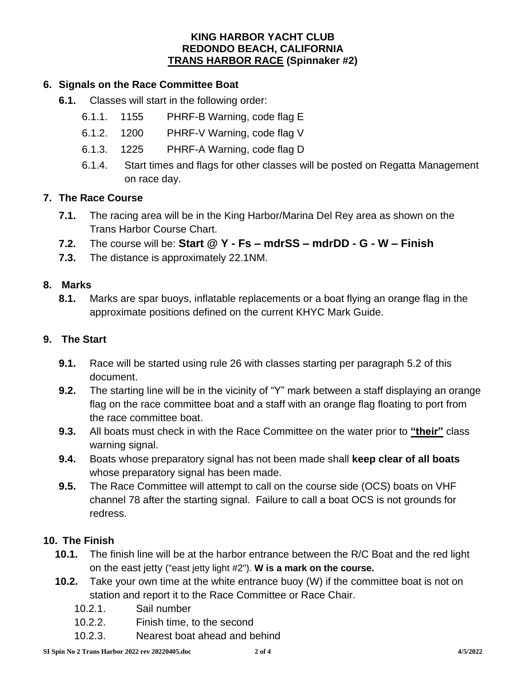### **6. Signals on the Race Committee Boat**

- **6.1.** Classes will start in the following order:
	- 6.1.1. 1155 PHRF-B Warning, code flag E
	- 6.1.2. 1200 PHRF-V Warning, code flag V
	- 6.1.3. 1225 PHRF-A Warning, code flag D
	- 6.1.4. Start times and flags for other classes will be posted on Regatta Management on race day.

#### **7. The Race Course**

- **7.1.** The racing area will be in the King Harbor/Marina Del Rey area as shown on the Trans Harbor Course Chart.
- **7.2.** The course will be: **Start @ Y - Fs – mdrSS – mdrDD - G - W – Finish**
- **7.3.** The distance is approximately 22.1NM.

#### **8. Marks**

**8.1.** Marks are spar buoys, inflatable replacements or a boat flying an orange flag in the approximate positions defined on the current KHYC Mark Guide.

#### **9. The Start**

- **9.1.** Race will be started using rule 26 with classes starting per paragraph 5.2 of this document.
- **9.2.** The starting line will be in the vicinity of "Y" mark between a staff displaying an orange flag on the race committee boat and a staff with an orange flag floating to port from the race committee boat.
- **9.3.** All boats must check in with the Race Committee on the water prior to **"their"** class warning signal.
- **9.4.** Boats whose preparatory signal has not been made shall **keep clear of all boats** whose preparatory signal has been made.
- **9.5.** The Race Committee will attempt to call on the course side (OCS) boats on VHF channel 78 after the starting signal. Failure to call a boat OCS is not grounds for redress.

#### **10. The Finish**

- **10.1.** The finish line will be at the harbor entrance between the R/C Boat and the red light on the east jetty ("east jetty light #2"). **W is a mark on the course.**
- **10.2.** Take your own time at the white entrance buoy (W) if the committee boat is not on station and report it to the Race Committee or Race Chair.
	- 10.2.1. Sail number
	- 10.2.2. Finish time, to the second
	- 10.2.3. Nearest boat ahead and behind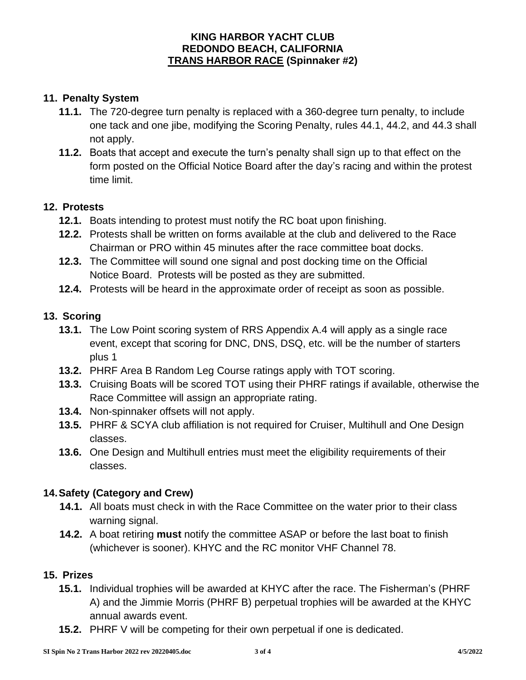## **11. Penalty System**

- **11.1.** The 720-degree turn penalty is replaced with a 360-degree turn penalty, to include one tack and one jibe, modifying the Scoring Penalty, rules 44.1, 44.2, and 44.3 shall not apply.
- **11.2.** Boats that accept and execute the turn's penalty shall sign up to that effect on the form posted on the Official Notice Board after the day's racing and within the protest time limit.

#### **12. Protests**

- **12.1.** Boats intending to protest must notify the RC boat upon finishing.
- **12.2.** Protests shall be written on forms available at the club and delivered to the Race Chairman or PRO within 45 minutes after the race committee boat docks.
- **12.3.** The Committee will sound one signal and post docking time on the Official Notice Board. Protests will be posted as they are submitted.
- **12.4.** Protests will be heard in the approximate order of receipt as soon as possible.

### **13. Scoring**

- **13.1.** The Low Point scoring system of RRS Appendix A.4 will apply as a single race event, except that scoring for DNC, DNS, DSQ, etc. will be the number of starters plus 1
- **13.2.** PHRF Area B Random Leg Course ratings apply with TOT scoring.
- **13.3.** Cruising Boats will be scored TOT using their PHRF ratings if available, otherwise the Race Committee will assign an appropriate rating.
- **13.4.** Non-spinnaker offsets will not apply.
- **13.5.** PHRF & SCYA club affiliation is not required for Cruiser, Multihull and One Design classes.
- **13.6.** One Design and Multihull entries must meet the eligibility requirements of their classes.

## **14.Safety (Category and Crew)**

- **14.1.** All boats must check in with the Race Committee on the water prior to their class warning signal.
- **14.2.** A boat retiring **must** notify the committee ASAP or before the last boat to finish (whichever is sooner). KHYC and the RC monitor VHF Channel 78.

#### **15. Prizes**

- **15.1.** Individual trophies will be awarded at KHYC after the race. The Fisherman's (PHRF A) and the Jimmie Morris (PHRF B) perpetual trophies will be awarded at the KHYC annual awards event.
- **15.2.** PHRF V will be competing for their own perpetual if one is dedicated.